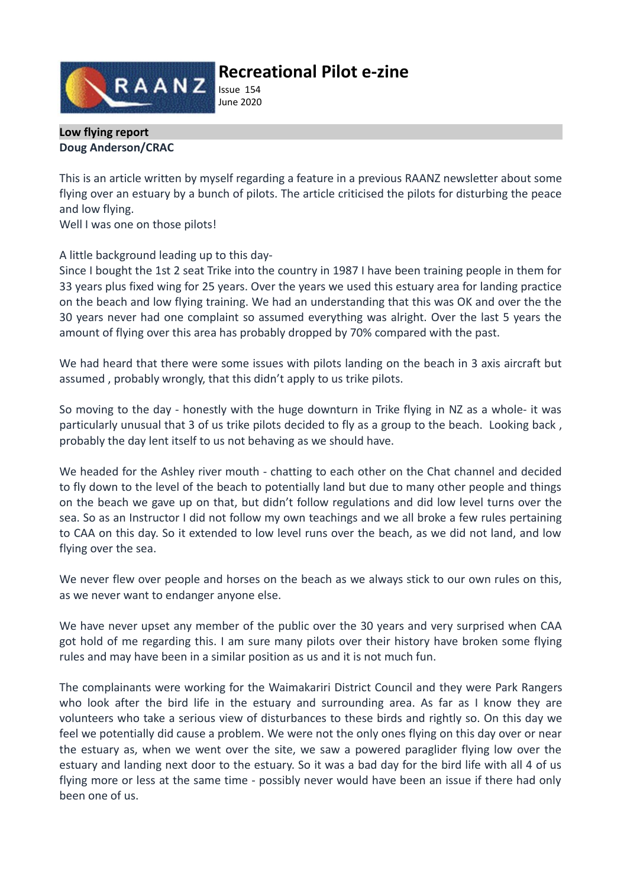

# **Recreational Pilot e-zine**

Issue 154 June 2020

#### **Low flying report Doug Anderson/CRAC**

This is an article written by myself regarding a feature in a previous RAANZ newsletter about some flying over an estuary by a bunch of pilots. The article criticised the pilots for disturbing the peace and low flying.

Well I was one on those pilots!

A little background leading up to this day-

Since I bought the 1st 2 seat Trike into the country in 1987 I have been training people in them for 33 years plus fixed wing for 25 years. Over the years we used this estuary area for landing practice on the beach and low flying training. We had an understanding that this was OK and over the the 30 years never had one complaint so assumed everything was alright. Over the last 5 years the amount of flying over this area has probably dropped by 70% compared with the past.

We had heard that there were some issues with pilots landing on the beach in 3 axis aircraft but assumed , probably wrongly, that this didn't apply to us trike pilots.

So moving to the day - honestly with the huge downturn in Trike flying in NZ as a whole- it was particularly unusual that 3 of us trike pilots decided to fly as a group to the beach. Looking back , probably the day lent itself to us not behaving as we should have.

We headed for the Ashley river mouth - chatting to each other on the Chat channel and decided to fly down to the level of the beach to potentially land but due to many other people and things on the beach we gave up on that, but didn't follow regulations and did low level turns over the sea. So as an Instructor I did not follow my own teachings and we all broke a few rules pertaining to CAA on this day. So it extended to low level runs over the beach, as we did not land, and low flying over the sea.

We never flew over people and horses on the beach as we always stick to our own rules on this, as we never want to endanger anyone else.

We have never upset any member of the public over the 30 years and very surprised when CAA got hold of me regarding this. I am sure many pilots over their history have broken some flying rules and may have been in a similar position as us and it is not much fun.

The complainants were working for the Waimakariri District Council and they were Park Rangers who look after the bird life in the estuary and surrounding area. As far as I know they are volunteers who take a serious view of disturbances to these birds and rightly so. On this day we feel we potentially did cause a problem. We were not the only ones flying on this day over or near the estuary as, when we went over the site, we saw a powered paraglider flying low over the estuary and landing next door to the estuary. So it was a bad day for the bird life with all 4 of us flying more or less at the same time - possibly never would have been an issue if there had only been one of us.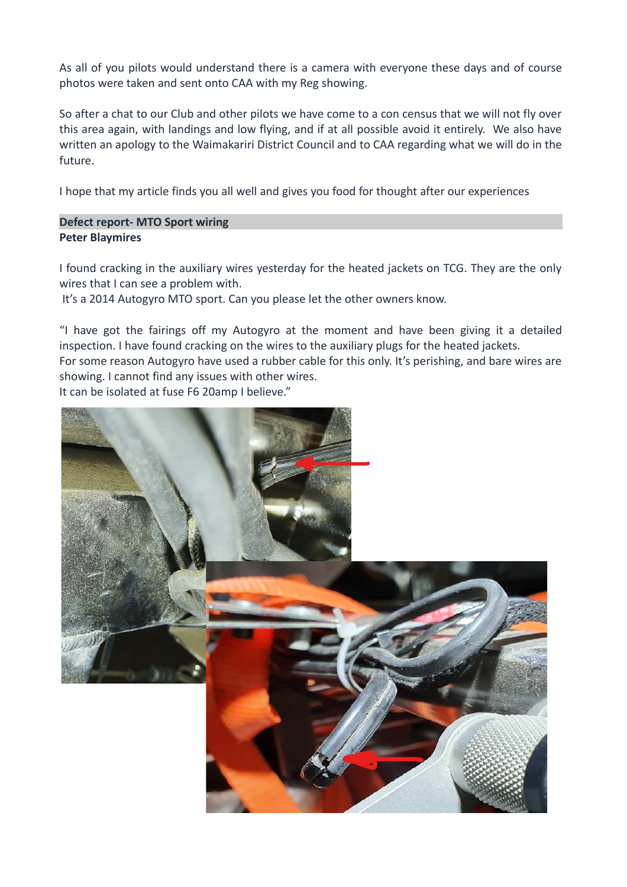As all of you pilots would understand there is a camera with everyone these days and of course photos were taken and sent onto CAA with my Reg showing.

So after a chat to our Club and other pilots we have come to a con census that we will not fly over this area again, with landings and low flying, and if at all possible avoid it entirely. We also have written an apology to the Waimakariri District Council and to CAA regarding what we will do in the future.

I hope that my article finds you all well and gives you food for thought after our experiences

### **Defect report- MTO Sport wiring Peter Blaymires**

I found cracking in the auxiliary wires yesterday for the heated jackets on TCG. They are the only wires that I can see a problem with.

It's a 2014 Autogyro MTO sport. Can you please let the other owners know.

"I have got the fairings off my Autogyro at the moment and have been giving it a detailed inspection. I have found cracking on the wires to the auxiliary plugs for the heated jackets. For some reason Autogyro have used a rubber cable for this only. It's perishing, and bare wires are showing. I cannot find any issues with other wires.

It can be isolated at fuse F6 20amp I believe."

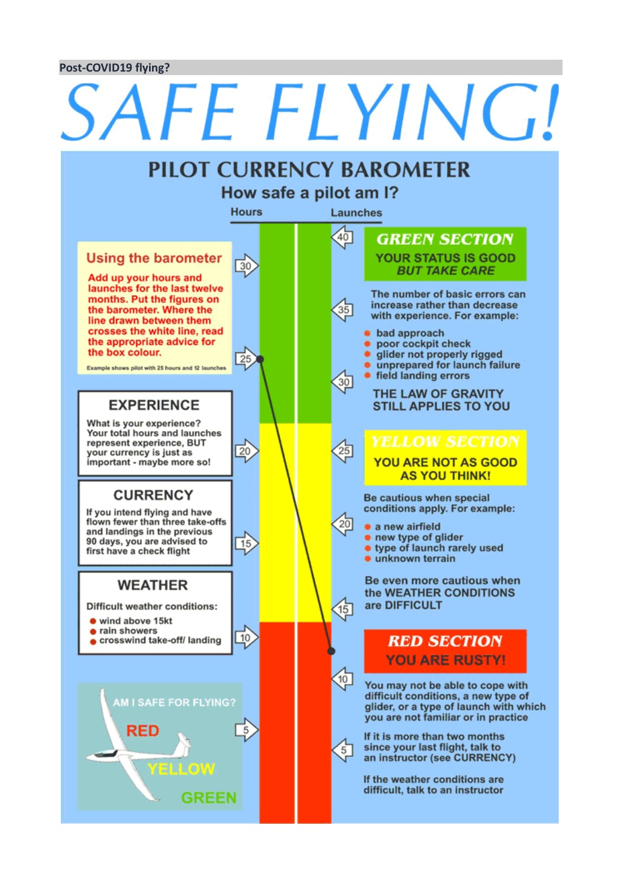#### **Post-COVID19 flying?**

#### SAFE FLYING! **PILOT CURRENCY BAROMETER** How safe a pilot am I? **Hours** Launches  $40$ **GREEN SECTION Using the barometer YOUR STATUS IS GOOD**  $\overline{30}$ **BUT TAKE CARE** Add up your hours and launches for the last twelve The number of basic errors can months. Put the figures on increase rather than decrease the barometer. Where the 35 with experience. For example: line drawn between them crosses the white line, read **•** bad approach the appropriate advice for • poor cockpit check the box colour. glider not properly rigged  $\overline{25}$ unprepared for launch failure Example shows pilot with 25 hours and 12 launches. • field landing errors  $30$ THE LAW OF GRAVITY **EXPERIENCE STILL APPLIES TO YOU** What is your experience? Your total hours and launches represent experience, BUT  $\overline{20}$  $25$ your currency is just as important - maybe more so! **YOU ARE NOT AS GOOD AS YOU THINK! CURRENCY** Be cautious when special conditions apply. For example: If you intend flying and have flown fewer than three take-offs  $20$ · a new airfield and landings in the previous . new type of glider 90 days, you are advised to  $\overline{15}$ **.** type of launch rarely used first have a check flight · unknown terrain Be even more cautious when **WEATHER** the WEATHER CONDITIONS are DIFFICULT **Difficult weather conditions:**  $(15)$ wind above 15kt • rain showers  $10$ crosswind take-off/ landing **RED SECTION YOU ARE RUSTY!**  $10$ You may not be able to cope with difficult conditions, a new type of **AM I SAFE FOR FLYING?** glider, or a type of launch with which you are not familiar or in practice RED If it is more than two months since your last flight, talk to  $5<sup>7</sup>$ an instructor (see CURRENCY) ELLOW If the weather conditions are difficult, talk to an instructor **GREEN**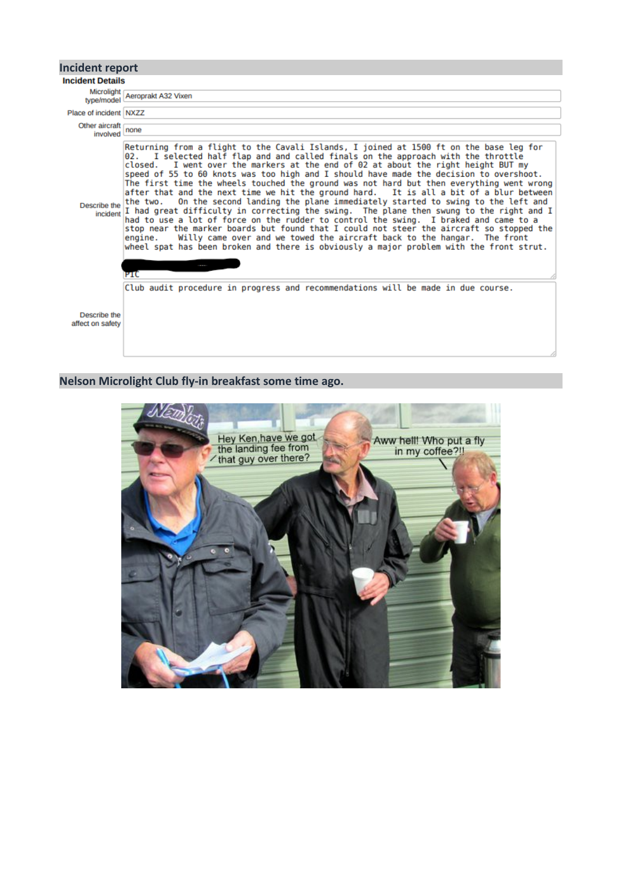

#### **Nelson Microlight Club fly-in breakfast some time ago.**

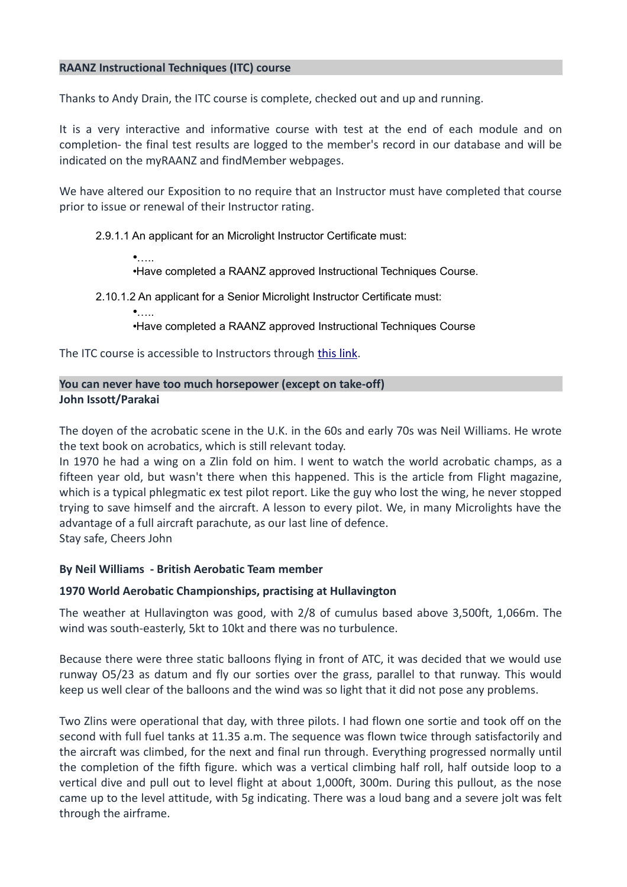### **RAANZ Instructional Techniques (ITC) course**

Thanks to Andy Drain, the ITC course is complete, checked out and up and running.

It is a very interactive and informative course with test at the end of each module and on completion- the final test results are logged to the member's record in our database and will be indicated on the myRAANZ and findMember webpages.

We have altered our Exposition to no require that an Instructor must have completed that course prior to issue or renewal of their Instructor rating.

2.9.1.1 An applicant for an Microlight Instructor Certificate must:

 $\bullet$ 

•Have completed a RAANZ approved Instructional Techniques Course.

2.10.1.2 An applicant for a Senior Microlight Instructor Certificate must:

•…..

•Have completed a RAANZ approved Instructional Techniques Course

The ITC course is accessible to Instructors through [this link.](http://www.raanz.org.nz/onlineITC.php)

## **You can never have too much horsepower (except on take-off) John Issott/Parakai**

The doyen of the acrobatic scene in the U.K. in the 60s and early 70s was Neil Williams. He wrote the text book on acrobatics, which is still relevant today.

In 1970 he had a wing on a Zlin fold on him. I went to watch the world acrobatic champs, as a fifteen year old, but wasn't there when this happened. This is the article from Flight magazine, which is a typical phlegmatic ex test pilot report. Like the guy who lost the wing, he never stopped trying to save himself and the aircraft. A lesson to every pilot. We, in many Microlights have the advantage of a full aircraft parachute, as our last line of defence. Stay safe, Cheers John

#### **By Neil Williams - British Aerobatic Team member**

#### **1970 World Aerobatic Championships, practising at Hullavington**

The weather at Hullavington was good, with 2/8 of cumulus based above 3,500ft, 1,066m. The wind was south-easterly, 5kt to 10kt and there was no turbulence.

Because there were three static balloons flying in front of ATC, it was decided that we would use runway O5/23 as datum and fly our sorties over the grass, parallel to that runway. This would keep us well clear of the balloons and the wind was so light that it did not pose any problems.

Two Zlins were operational that day, with three pilots. I had flown one sortie and took off on the second with full fuel tanks at 11.35 a.m. The sequence was flown twice through satisfactorily and the aircraft was climbed, for the next and final run through. Everything progressed normally until the completion of the fifth figure. which was a vertical climbing half roll, half outside loop to a vertical dive and pull out to level flight at about 1,000ft, 300m. During this pullout, as the nose came up to the level attitude, with 5g indicating. There was a loud bang and a severe jolt was felt through the airframe.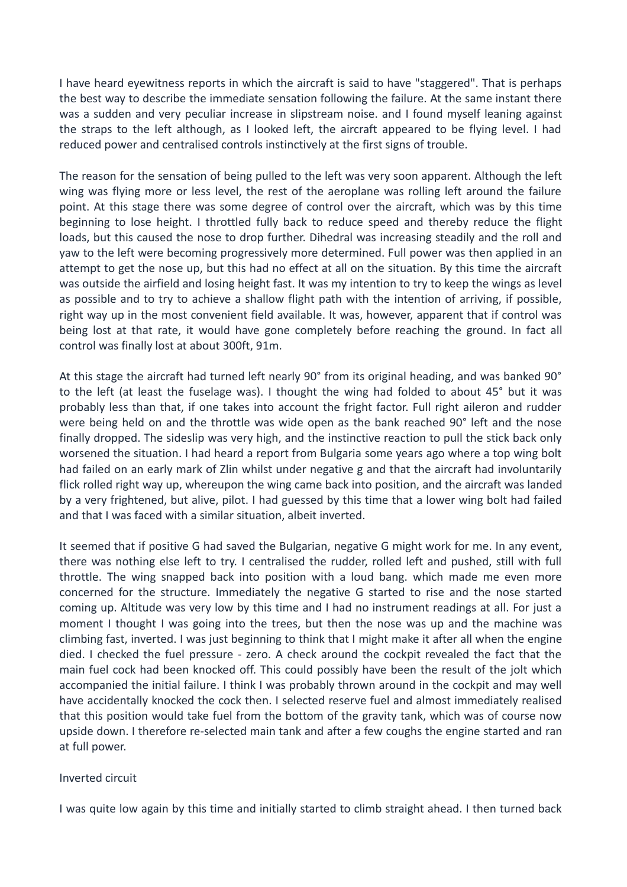I have heard eyewitness reports in which the aircraft is said to have "staggered". That is perhaps the best way to describe the immediate sensation following the failure. At the same instant there was a sudden and very peculiar increase in slipstream noise. and I found myself leaning against the straps to the left although, as I looked left, the aircraft appeared to be flying level. I had reduced power and centralised controls instinctively at the first signs of trouble.

The reason for the sensation of being pulled to the left was very soon apparent. Although the left wing was flying more or less level, the rest of the aeroplane was rolling left around the failure point. At this stage there was some degree of control over the aircraft, which was by this time beginning to lose height. I throttled fully back to reduce speed and thereby reduce the flight loads, but this caused the nose to drop further. Dihedral was increasing steadily and the roll and yaw to the left were becoming progressively more determined. Full power was then applied in an attempt to get the nose up, but this had no effect at all on the situation. By this time the aircraft was outside the airfield and losing height fast. It was my intention to try to keep the wings as level as possible and to try to achieve a shallow flight path with the intention of arriving, if possible, right way up in the most convenient field available. It was, however, apparent that if control was being lost at that rate, it would have gone completely before reaching the ground. In fact all control was finally lost at about 300ft, 91m.

At this stage the aircraft had turned left nearly 90° from its original heading, and was banked 90° to the left (at least the fuselage was). I thought the wing had folded to about 45° but it was probably less than that, if one takes into account the fright factor. Full right aileron and rudder were being held on and the throttle was wide open as the bank reached 90° left and the nose finally dropped. The sideslip was very high, and the instinctive reaction to pull the stick back only worsened the situation. I had heard a report from Bulgaria some years ago where a top wing bolt had failed on an early mark of Zlin whilst under negative g and that the aircraft had involuntarily flick rolled right way up, whereupon the wing came back into position, and the aircraft was landed by a very frightened, but alive, pilot. I had guessed by this time that a lower wing bolt had failed and that I was faced with a similar situation, albeit inverted.

It seemed that if positive G had saved the Bulgarian, negative G might work for me. In any event, there was nothing else left to try. I centralised the rudder, rolled left and pushed, still with full throttle. The wing snapped back into position with a loud bang. which made me even more concerned for the structure. Immediately the negative G started to rise and the nose started coming up. Altitude was very low by this time and I had no instrument readings at all. For just a moment I thought I was going into the trees, but then the nose was up and the machine was climbing fast, inverted. I was just beginning to think that I might make it after all when the engine died. I checked the fuel pressure - zero. A check around the cockpit revealed the fact that the main fuel cock had been knocked off. This could possibly have been the result of the jolt which accompanied the initial failure. I think I was probably thrown around in the cockpit and may well have accidentally knocked the cock then. I selected reserve fuel and almost immediately realised that this position would take fuel from the bottom of the gravity tank, which was of course now upside down. I therefore re-selected main tank and after a few coughs the engine started and ran at full power.

#### Inverted circuit

I was quite low again by this time and initially started to climb straight ahead. I then turned back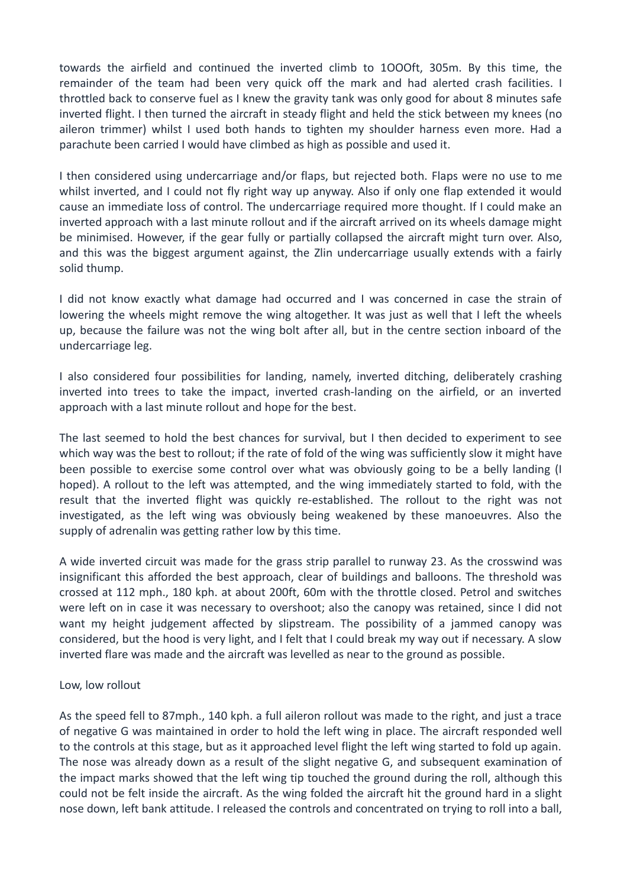towards the airfield and continued the inverted climb to 1OOOft, 305m. By this time, the remainder of the team had been very quick off the mark and had alerted crash facilities. I throttled back to conserve fuel as I knew the gravity tank was only good for about 8 minutes safe inverted flight. I then turned the aircraft in steady flight and held the stick between my knees (no aileron trimmer) whilst I used both hands to tighten my shoulder harness even more. Had a parachute been carried I would have climbed as high as possible and used it.

I then considered using undercarriage and/or flaps, but rejected both. Flaps were no use to me whilst inverted, and I could not fly right way up anyway. Also if only one flap extended it would cause an immediate loss of control. The undercarriage required more thought. If I could make an inverted approach with a last minute rollout and if the aircraft arrived on its wheels damage might be minimised. However, if the gear fully or partially collapsed the aircraft might turn over. Also, and this was the biggest argument against, the Zlin undercarriage usually extends with a fairly solid thump.

I did not know exactly what damage had occurred and I was concerned in case the strain of lowering the wheels might remove the wing altogether. It was just as well that I left the wheels up, because the failure was not the wing bolt after all, but in the centre section inboard of the undercarriage leg.

I also considered four possibilities for landing, namely, inverted ditching, deliberately crashing inverted into trees to take the impact, inverted crash-landing on the airfield, or an inverted approach with a last minute rollout and hope for the best.

The last seemed to hold the best chances for survival, but I then decided to experiment to see which way was the best to rollout; if the rate of fold of the wing was sufficiently slow it might have been possible to exercise some control over what was obviously going to be a belly landing (I hoped). A rollout to the left was attempted, and the wing immediately started to fold, with the result that the inverted flight was quickly re-established. The rollout to the right was not investigated, as the left wing was obviously being weakened by these manoeuvres. Also the supply of adrenalin was getting rather low by this time.

A wide inverted circuit was made for the grass strip parallel to runway 23. As the crosswind was insignificant this afforded the best approach, clear of buildings and balloons. The threshold was crossed at 112 mph., 180 kph. at about 200ft, 60m with the throttle closed. Petrol and switches were left on in case it was necessary to overshoot; also the canopy was retained, since I did not want my height judgement affected by slipstream. The possibility of a jammed canopy was considered, but the hood is very light, and I felt that I could break my way out if necessary. A slow inverted flare was made and the aircraft was levelled as near to the ground as possible.

#### Low, low rollout

As the speed fell to 87mph., 140 kph. a full aileron rollout was made to the right, and just a trace of negative G was maintained in order to hold the left wing in place. The aircraft responded well to the controls at this stage, but as it approached level flight the left wing started to fold up again. The nose was already down as a result of the slight negative G, and subsequent examination of the impact marks showed that the left wing tip touched the ground during the roll, although this could not be felt inside the aircraft. As the wing folded the aircraft hit the ground hard in a slight nose down, left bank attitude. I released the controls and concentrated on trying to roll into a ball,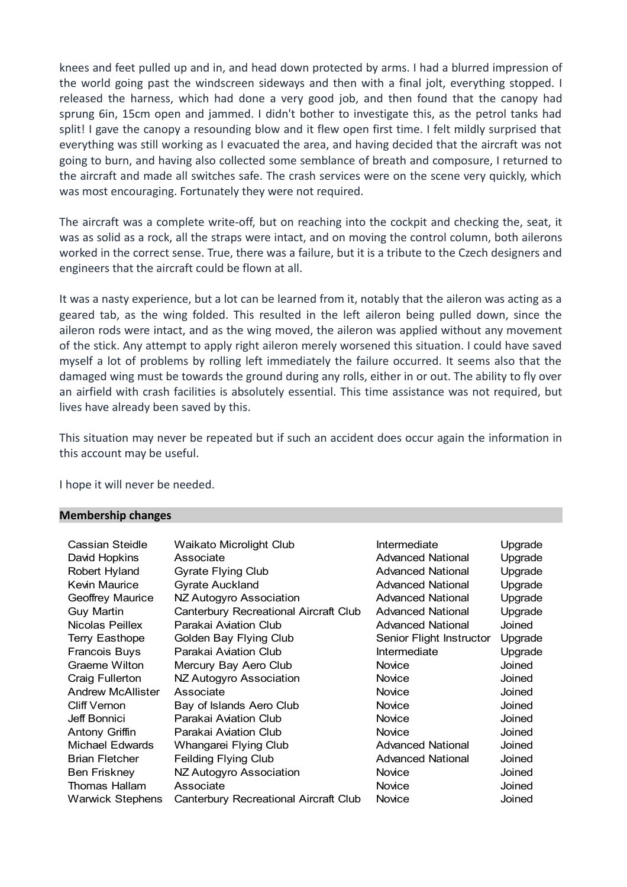knees and feet pulled up and in, and head down protected by arms. I had a blurred impression of the world going past the windscreen sideways and then with a final jolt, everything stopped. I released the harness, which had done a very good job, and then found that the canopy had sprung 6in, 15cm open and jammed. I didn't bother to investigate this, as the petrol tanks had split! I gave the canopy a resounding blow and it flew open first time. I felt mildly surprised that everything was still working as I evacuated the area, and having decided that the aircraft was not going to burn, and having also collected some semblance of breath and composure, I returned to the aircraft and made all switches safe. The crash services were on the scene very quickly, which was most encouraging. Fortunately they were not required.

The aircraft was a complete write-off, but on reaching into the cockpit and checking the, seat, it was as solid as a rock, all the straps were intact, and on moving the control column, both ailerons worked in the correct sense. True, there was a failure, but it is a tribute to the Czech designers and engineers that the aircraft could be flown at all.

It was a nasty experience, but a lot can be learned from it, notably that the aileron was acting as a geared tab, as the wing folded. This resulted in the left aileron being pulled down, since the aileron rods were intact, and as the wing moved, the aileron was applied without any movement of the stick. Any attempt to apply right aileron merely worsened this situation. I could have saved myself a lot of problems by rolling left immediately the failure occurred. It seems also that the damaged wing must be towards the ground during any rolls, either in or out. The ability to fly over an airfield with crash facilities is absolutely essential. This time assistance was not required, but lives have already been saved by this.

This situation may never be repeated but if such an accident does occur again the information in this account may be useful.

I hope it will never be needed.

#### **Membership changes**

| Cassian Steidle          | Waikato Microlight Club               | Intermediate             | Upgrade |
|--------------------------|---------------------------------------|--------------------------|---------|
| David Hopkins            | Associate                             | <b>Advanced National</b> | Upgrade |
| Robert Hyland            | <b>Gyrate Flying Club</b>             | <b>Advanced National</b> | Upgrade |
| Kevin Maurice            | <b>Gyrate Auckland</b>                | <b>Advanced National</b> | Upgrade |
| Geoffrey Maurice         | NZ Autogyro Association               | <b>Advanced National</b> | Upgrade |
| <b>Guy Martin</b>        | Canterbury Recreational Aircraft Club | <b>Advanced National</b> | Upgrade |
| Nicolas Peillex          | Parakai Aviation Club                 | <b>Advanced National</b> | Joined  |
| <b>Terry Easthope</b>    | Golden Bay Flying Club                | Senior Flight Instructor | Upgrade |
| Francois Buys            | Parakai Aviation Club                 | Intermediate             | Upgrade |
| Graeme Wilton            | Mercury Bay Aero Club                 | <b>Novice</b>            | Joined  |
| Craig Fullerton          | NZ Autogyro Association               | <b>Novice</b>            | Joined  |
| <b>Andrew McAllister</b> | Associate                             | Novice                   | Joined  |
| <b>Cliff Vernon</b>      | Bay of Islands Aero Club              | Novice                   | Joined  |
| Jeff Bonnici             | Parakai Aviation Club                 | <b>Novice</b>            | Joined  |
| Antony Griffin           | Parakai Aviation Club                 | <b>Novice</b>            | Joined  |
| Michael Edwards          | Whangarei Flying Club                 | <b>Advanced National</b> | Joined  |
| <b>Brian Fletcher</b>    | Feilding Flying Club                  | <b>Advanced National</b> | Joined  |
| Ben Friskney             | NZ Autogyro Association               | <b>Novice</b>            | Joined  |
| <b>Thomas Hallam</b>     | Associate                             | Novice                   | Joined  |
| Warwick Stephens         | Canterbury Recreational Aircraft Club | Novice                   | Joined  |